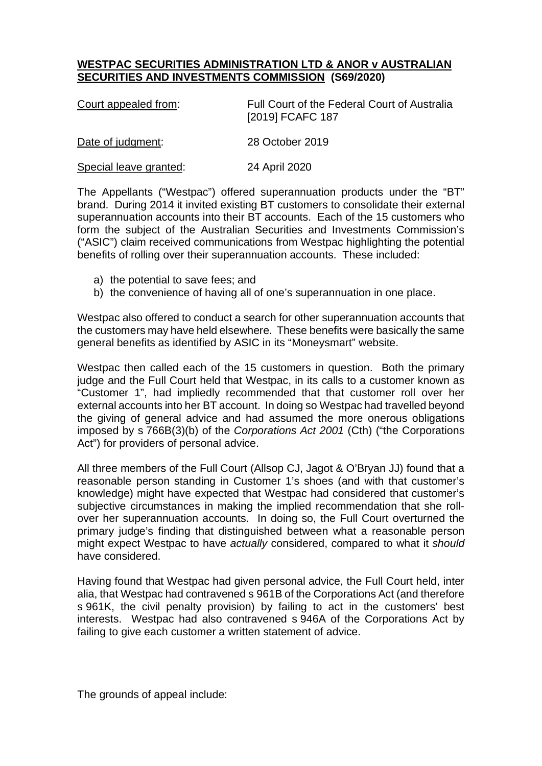## **WESTPAC SECURITIES ADMINISTRATION LTD & ANOR v AUSTRALIAN SECURITIES AND INVESTMENTS COMMISSION (S69/2020)**

| Court appealed from:   | Full Court of the Federal Court of Australia<br>[2019] FCAFC 187 |
|------------------------|------------------------------------------------------------------|
| Date of judgment:      | 28 October 2019                                                  |
| Special leave granted: | 24 April 2020                                                    |

The Appellants ("Westpac") offered superannuation products under the "BT" brand. During 2014 it invited existing BT customers to consolidate their external superannuation accounts into their BT accounts. Each of the 15 customers who form the subject of the Australian Securities and Investments Commission's ("ASIC") claim received communications from Westpac highlighting the potential benefits of rolling over their superannuation accounts. These included:

- a) the potential to save fees; and
- b) the convenience of having all of one's superannuation in one place.

Westpac also offered to conduct a search for other superannuation accounts that the customers may have held elsewhere. These benefits were basically the same general benefits as identified by ASIC in its "Moneysmart" website.

Westpac then called each of the 15 customers in question. Both the primary judge and the Full Court held that Westpac, in its calls to a customer known as "Customer 1", had impliedly recommended that that customer roll over her external accounts into her BT account. In doing so Westpac had travelled beyond the giving of general advice and had assumed the more onerous obligations imposed by s 766B(3)(b) of the *Corporations Act 2001* (Cth) ("the Corporations Act") for providers of personal advice.

All three members of the Full Court (Allsop CJ, Jagot & O'Bryan JJ) found that a reasonable person standing in Customer 1's shoes (and with that customer's knowledge) might have expected that Westpac had considered that customer's subjective circumstances in making the implied recommendation that she rollover her superannuation accounts. In doing so, the Full Court overturned the primary judge's finding that distinguished between what a reasonable person might expect Westpac to have *actually* considered, compared to what it *should* have considered.

Having found that Westpac had given personal advice, the Full Court held, inter alia, that Westpac had contravened s 961B of the Corporations Act (and therefore s 961K, the civil penalty provision) by failing to act in the customers' best interests. Westpac had also contravened s 946A of the Corporations Act by failing to give each customer a written statement of advice.